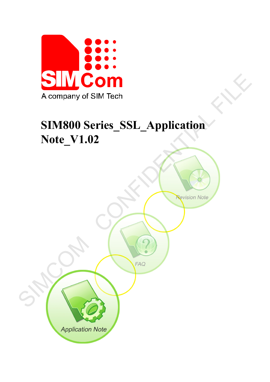

# **SIM800 Series\_SSL\_Application Note\_V1.02**

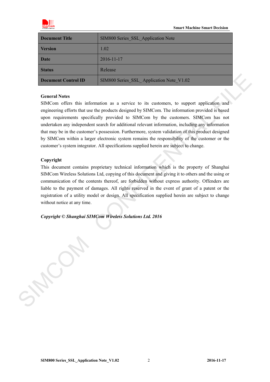

| <b>Document Title</b> | SIM800 Series SSL Application Note       |
|-----------------------|------------------------------------------|
| <b>Version</b>        | 1.02                                     |
| <b>Date</b>           | 2016-11-17                               |
| <b>Status</b>         | Release                                  |
| Document Control ID   | SIM800 Series SSL Application Note V1.02 |

### **General Notes**

SIMCom offers this information as a service to its customers, to support application and engineering efforts that use the products designed by SIMCom. The information provided is based upon requirements specifically provided to SIMCom by the customers. SIMCom has not undertaken any independent search for additional relevant information, including any information that may be in the customer's possession. Furthermore, system validation of this product designed by SIMCom within a larger electronic system remains the responsibility of the customer or the customer's system integrator. All specifications supplied herein are subject to change. **Decument Control ID**<br>
SIMEON Scries SSI Application Note V1.02<br>
General Notes<br>
SIMCom offers that information as a service to its customers, to support application and<br>
engineering efforts that are the protocol designed

### **Copyright**

This document contains proprietary technical information which is the property of Shanghai SIMCom Wireless Solutions Ltd, copying of this document and giving it to others and the using or communication of the contents thereof, are forbidden without express authority. Offenders are liable to the payment of damages. All rights reserved in the event of grant of a patent or the registration of a utility model or design. All specification supplied herein are subject to change without notice at any time.

*Copyright © Shanghai SIMCom Wireless Solutions Ltd. 2016*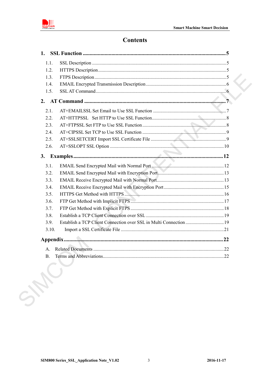

## **Contents**

| 1.1.  |                                                                    |  |
|-------|--------------------------------------------------------------------|--|
| 1.2.  |                                                                    |  |
| 1.3.  |                                                                    |  |
| 1.4.  |                                                                    |  |
| 1.5.  |                                                                    |  |
|       |                                                                    |  |
| 2.1.  |                                                                    |  |
| 2.2.  |                                                                    |  |
| 2.3.  |                                                                    |  |
| 2.4.  |                                                                    |  |
| 2.5.  |                                                                    |  |
| 2.6.  |                                                                    |  |
| 3.    |                                                                    |  |
| 3.1.  |                                                                    |  |
| 3.2.  |                                                                    |  |
| 3.3.  |                                                                    |  |
| 3.4.  |                                                                    |  |
| 3.5.  |                                                                    |  |
| 3.6.  |                                                                    |  |
| 3.7.  |                                                                    |  |
| 3.8.  |                                                                    |  |
| 3.9.  | Establish a TCP Client Connection over SSL in Multi Connection  19 |  |
| 3.10. |                                                                    |  |
|       |                                                                    |  |
|       |                                                                    |  |
|       |                                                                    |  |

 $\overline{3}$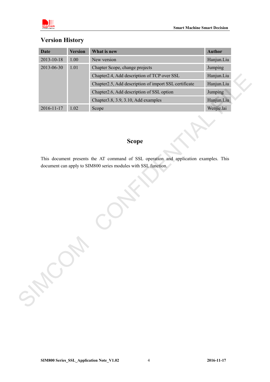

## **Version History**

|                  | <b>Version</b> | What is new                                                                                           | <b>Author</b> |
|------------------|----------------|-------------------------------------------------------------------------------------------------------|---------------|
| 2013-10-18       | 1.00           | New version                                                                                           | Hanjun.Liu    |
| 2013-06-30       | 1.01           | Chapter Scope, change projects                                                                        | Jumping       |
|                  |                | Chapter2.4, Add description of TCP over SSL                                                           | Hanjun.Liu    |
|                  |                | Chapter2.5, Add description of import SSL certificate                                                 | Hanjun.Liu    |
|                  |                | Chapter2.6, Add description of SSL option                                                             | Jumping       |
|                  |                | Chapter 3.8, 3.9, 3.10, Add examples                                                                  | Hanjun.Liu    |
| $2016 - 11 - 17$ | 1.02           | Scope                                                                                                 | Wenjie.lai    |
|                  |                | <b>Scope</b><br>This document presents the AT command of SSL operation and application examples. This |               |
|                  |                | document can apply to SIM800 series modules with SSL function.                                        |               |
| SHOWN            |                |                                                                                                       |               |

## **Scope**

**SIM800 Series\_SSL\_Application Note\_V1.02** 4 **2016-11-17**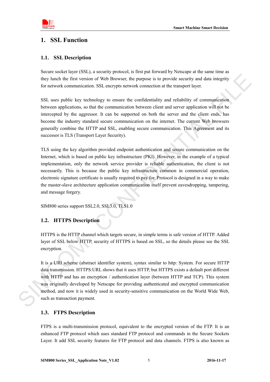

## <span id="page-4-0"></span>**1. SSL Function**

### <span id="page-4-1"></span>**1.1. SSL Description**

Secure socket layer (SSL), a security protocol, is first put forward by Netscape at the same time as they lunch the first version of Web Browser, the purpose is to provide security and data integrity for network communication. SSL encrypts network connection at the transport layer.

SSL uses public key technology to ensure the confidentiality and reliability of communication between applications, so that the communication between client and server application will not be intercepted by the aggressor. It can be supported on both the server and the client ends, has become the industry standard secure communication on the internet. The current Web browsers generally combine the HTTP and SSL, enabling secure communication. This Agreement and its successor is TLS (Transport Layer Security).

TLS using the key algorithm provided endpoint authentication and secure communication on the Internet, which is based on public key infrastructure (PKI). However, in the example of a typical implementation, only the network service provider is reliable authentication, the client is not necessarily. This is because the public key infrastructure common in commercial operation, electronic signature certificate is usually required to pay for. Protocol is designed in a way to make the master-slave architecture application communication itself prevent eavesdropping, tampering, and message forgery. they limetal to first versus of Web Hrowser, the purpose is to provide security and data mengrity<br>for network communication SSI: encrypts network connection at the tansport hayer.<br>SSI, exacts public communication between c

SIM800 series support SSL2.0, SSL3.0, TLS1.0

### <span id="page-4-2"></span>**1.2. HTTPS Description**

HTTPS is the HTTP channel which targets secure, in simple terms is safe version of HTTP. Added layer of SSL below HTTP, security of HTTPS is based on SSL, so the details please see the SSL encryption.

It is a URI scheme (abstract identifier system), syntax similar to http: System. For secure HTTP data transmission. HTTPS:URL shows that it uses HTTP, but HTTPS exists a default port different with HTTP and has an encryption / authentication layer (between HTTP and TCP). This system was originally developed by Netscape for providing authenticated and encrypted communication method, and now it is widely used in security-sensitive communication on the World Wide Web, such as transaction payment.

### <span id="page-4-3"></span>**1.3. FTPS Description**

FTPS is a multi-transmission protocol, equivalent to the encrypted version of the FTP. It is an enhanced FTP protocol which uses standard FTP protocol and commands in the Secure Sockets Layer. It add SSL security features for FTP protocol and data channels. FTPS is also known as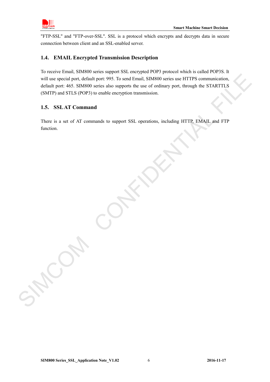

"FTP-SSL" and "FTP-over-SSL". SSL is a protocol which encrypts and decrypts data in secure connection between client and an SSL-enabled server.

### <span id="page-5-0"></span>**1.4. EMAIL Encrypted Transmission Description**

To receive Email, SIM800 series support SSL encrypted POP3 protocol which is called POP3S. It will use special port, default port: 995. To send Email, SIM800 series use HTTPS communication, default port: 465. SIM800 series also supports the use of ordinary port, through the STARTTLS (SMTP) and STLS (POP3) to enable encryption transmission. will use special port, definit port. 995. To send Email, SIMO00 series use HTTPS communication,<br>definit port. 465 SIMS00 series also supports the use of undiany port, fluough the STARTITS<br>definity and STES (SMOO) six enabl

### <span id="page-5-1"></span>**1.5. SSLAT Command**

There is a set of AT commands to support SSL operations, including HTTP, EMAIL and FTP function.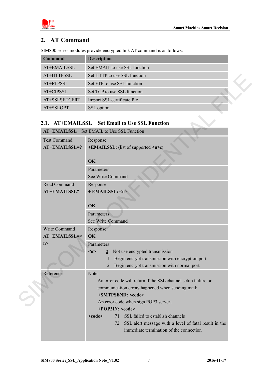

## <span id="page-6-0"></span>**2. AT Command**

SIM800 series modules provide encrypted link AT command is as follows:

| <b>Command</b> | <b>Description</b>            |  |
|----------------|-------------------------------|--|
| AT+EMAILSSL    | Set EMAIL to use SSL function |  |
| AT+HTTPSSL     | Set HTTP to use SSL function  |  |
| AT+FTPSSL      | Set FTP to use SSL function   |  |
| AT+CIPSSL      | Set TCP to use SSL function   |  |
| AT+SSLSETCERT  | Import SSL certificate file   |  |
| AT+SSLOPT      | SSL option                    |  |

### <span id="page-6-1"></span>**2.1. AT+EMAILSSL Set Email to Use SSL Function AT+EMAIL SSL Cot EMAIL to Use SSL Function**

| AT+HTTPSSL                           | Set HTTP to use SSL function                                                                                                                                                                                                                                                                                                                                                                          |  |  |  |  |
|--------------------------------------|-------------------------------------------------------------------------------------------------------------------------------------------------------------------------------------------------------------------------------------------------------------------------------------------------------------------------------------------------------------------------------------------------------|--|--|--|--|
| AT+FTPSSL                            | Set FTP to use SSL function                                                                                                                                                                                                                                                                                                                                                                           |  |  |  |  |
| AT+CIPSSL                            | Set TCP to use SSL function                                                                                                                                                                                                                                                                                                                                                                           |  |  |  |  |
| AT+SSLSETCERT                        | Import SSL certificate file                                                                                                                                                                                                                                                                                                                                                                           |  |  |  |  |
| AT+SSLOPT                            | SSL option                                                                                                                                                                                                                                                                                                                                                                                            |  |  |  |  |
| <b>AT+EMAILSSL</b><br>2.1.           | <b>Set Email to Use SSL Function</b><br>AT+EMAILSSL Set EMAIL to Use SSL Function                                                                                                                                                                                                                                                                                                                     |  |  |  |  |
| <b>Test Command</b><br>AT+EMAILSSL=? | Response<br>+EMAILSSL: (list of supported <n>s)<br/>OK</n>                                                                                                                                                                                                                                                                                                                                            |  |  |  |  |
|                                      | Parameters<br>See Write Command                                                                                                                                                                                                                                                                                                                                                                       |  |  |  |  |
| Read Command<br><b>AT+EMAILSSL?</b>  | Response<br>+ EMAILSSL: <n><br/>OK</n>                                                                                                                                                                                                                                                                                                                                                                |  |  |  |  |
|                                      | <b>Parameters</b><br>See Write Command                                                                                                                                                                                                                                                                                                                                                                |  |  |  |  |
| Write Command<br>AT+EMAILSSL=<       | Response<br>OK                                                                                                                                                                                                                                                                                                                                                                                        |  |  |  |  |
| n                                    | Parameters<br>Not use encrypted transmission<br>m<br>$\mathbf{0}$<br>Begin encrypt transmission with encryption port<br>1<br>Begin encrypt transmission with normal port<br>2                                                                                                                                                                                                                         |  |  |  |  |
| Reference                            | Note:<br>An error code will return if the SSL channel setup failure or<br>communication errors happened when sending mail:<br>+SMTPSEND: <code><br/>An error code when sign POP3 server:<br/>+POP3IN: <code><br/>SSL failed to establish channels<br/><code><br/>71<br/>SSL alert message with a level of fatal result in the<br/>72<br/>immediate termination of the connection</code></code></code> |  |  |  |  |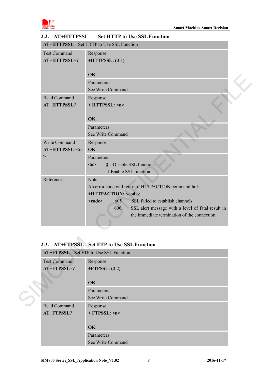

|                                     | AT+HTTPSSL Set HTTP to Use SSL Function                                                                                                                                                                                                                                                            |
|-------------------------------------|----------------------------------------------------------------------------------------------------------------------------------------------------------------------------------------------------------------------------------------------------------------------------------------------------|
| <b>Test Command</b><br>AT+HTTPSSL=? | Response<br>$+HTTPSSL: (0-1)$<br>OK<br>Parameters                                                                                                                                                                                                                                                  |
| Read Command<br>AT+HTTPSSL?         | See Write Command<br>Response<br>+ HTTPSSL: <n></n>                                                                                                                                                                                                                                                |
|                                     | OK<br>Parameters<br>See Write Command                                                                                                                                                                                                                                                              |
| Write Command<br>$AT+HTTPSSL=n$     | Response<br>OK                                                                                                                                                                                                                                                                                     |
| $\, >$                              | Parameters<br>0 Disable SSL function<br>$\leq n$<br>1 Enable SSL function                                                                                                                                                                                                                          |
| Reference                           | Note:<br>An error code will return if HTTPACTION command fail:<br>+HTTPACTION: <code><br/>SSL failed to establish channels<br/>605<br/><math>&lt;</math>code<math>&gt;</math><br/>606<br/>SSL alert message with a level of fatal result in<br/>the immediate termination of the connection</code> |
|                                     | 2.3. AT+FTPSSL Set FTP to Use SSL Function<br>AT+FTPSSL Set FTP to Use SSL Function                                                                                                                                                                                                                |
| Test Command                        |                                                                                                                                                                                                                                                                                                    |
| AT+FTPSSL=?                         | Response<br>$+$ FTPSSL: (0-2)                                                                                                                                                                                                                                                                      |
|                                     | OK                                                                                                                                                                                                                                                                                                 |
|                                     | Parameters<br>See Write Command                                                                                                                                                                                                                                                                    |
| Read Command                        | Response                                                                                                                                                                                                                                                                                           |

### <span id="page-7-0"></span>**2.2. AT+HTTPSSL Set HTTP to Use SSL Function**

## <span id="page-7-1"></span>**2.3. AT+FTPSSL Set FTP to Use SSL Function**

| <b>AT+FTPSSL</b> Set FTP to Use SSL Function |                      |  |  |  |  |  |
|----------------------------------------------|----------------------|--|--|--|--|--|
| <b>Test Command</b>                          | Response             |  |  |  |  |  |
| $AT + FTPSSL = ?$                            | $+$ FTPSSL: (0-2)    |  |  |  |  |  |
|                                              |                      |  |  |  |  |  |
|                                              | <b>OK</b>            |  |  |  |  |  |
|                                              | Parameters           |  |  |  |  |  |
|                                              | See Write Command    |  |  |  |  |  |
| Read Command                                 | Response             |  |  |  |  |  |
| AT+FTPSSL?                                   | $+$ FTPSSL: $\leq n$ |  |  |  |  |  |
|                                              |                      |  |  |  |  |  |
|                                              | OK                   |  |  |  |  |  |
|                                              | Parameters           |  |  |  |  |  |
|                                              | See Write Command    |  |  |  |  |  |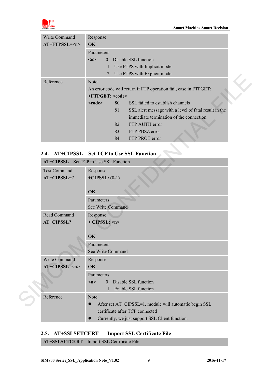

| Write Command   | Response                              |    |                                                                  |  |  |  |  |
|-----------------|---------------------------------------|----|------------------------------------------------------------------|--|--|--|--|
| $AT+FTPSSI=\nn$ | $\alpha$                              |    |                                                                  |  |  |  |  |
|                 | Parameters                            |    |                                                                  |  |  |  |  |
|                 | $\overline{0}$<br>$\langle n \rangle$ |    | Disable SSL function                                             |  |  |  |  |
|                 | 1                                     |    | Use FTPS with Implicit mode                                      |  |  |  |  |
|                 | 2                                     |    | Use FTPS with Explicit mode                                      |  |  |  |  |
| Reference       | Note:                                 |    |                                                                  |  |  |  |  |
|                 |                                       |    | An error code will return if FTP operation fail, case in FTPGET: |  |  |  |  |
|                 | $+FTPGET: code>$                      |    |                                                                  |  |  |  |  |
|                 | $<$ code $>$                          | 80 | SSL failed to establish channels                                 |  |  |  |  |
|                 |                                       | 81 | SSL alert message with a level of fatal result in the            |  |  |  |  |
|                 |                                       |    | immediate termination of the connection                          |  |  |  |  |
|                 |                                       | 82 | FTP AUTH error                                                   |  |  |  |  |
|                 |                                       | 83 | FTP PBSZ error                                                   |  |  |  |  |
|                 |                                       | 84 | FTP PROT error                                                   |  |  |  |  |

## <span id="page-8-0"></span>**2.4. AT+CIPSSL Set TCP to Use SSL Function**

|                                            |                                                                  | Use FIFS with Explicit mode                            |  |  |  |  |
|--------------------------------------------|------------------------------------------------------------------|--------------------------------------------------------|--|--|--|--|
| Reference                                  | Note:                                                            |                                                        |  |  |  |  |
|                                            | An error code will return if FTP operation fail, case in FTPGET: |                                                        |  |  |  |  |
|                                            | +FTPGET: <code></code>                                           |                                                        |  |  |  |  |
|                                            | 80<br>$<$ code $>$                                               | SSL failed to establish channels                       |  |  |  |  |
|                                            | 81                                                               | SSL alert message with a level of fatal result in the  |  |  |  |  |
|                                            |                                                                  | immediate termination of the connection                |  |  |  |  |
|                                            | 82                                                               | FTP AUTH error                                         |  |  |  |  |
|                                            | 83                                                               | FTP PBSZ error                                         |  |  |  |  |
|                                            | 84                                                               | FTP PROT error                                         |  |  |  |  |
|                                            |                                                                  |                                                        |  |  |  |  |
| 2.4. AT+CIPSSL Set TCP to Use SSL Function |                                                                  |                                                        |  |  |  |  |
| AT+CIPSSL Set TCP to Use SSL Function      |                                                                  |                                                        |  |  |  |  |
| <b>Test Command</b>                        | Response                                                         |                                                        |  |  |  |  |
| $AT+CIPSSL=?$                              | $+CIPSSL: (0-1)$                                                 |                                                        |  |  |  |  |
|                                            |                                                                  |                                                        |  |  |  |  |
|                                            | OK                                                               |                                                        |  |  |  |  |
|                                            | Parameters                                                       |                                                        |  |  |  |  |
|                                            | See Write Command                                                |                                                        |  |  |  |  |
| Read Command                               | Response                                                         |                                                        |  |  |  |  |
| <b>AT+CIPSSL?</b>                          | $+$ CIPSSL: $\langle n \rangle$                                  |                                                        |  |  |  |  |
|                                            |                                                                  |                                                        |  |  |  |  |
|                                            | OK                                                               |                                                        |  |  |  |  |
|                                            |                                                                  |                                                        |  |  |  |  |
|                                            | Parameters                                                       |                                                        |  |  |  |  |
|                                            | See Write Command                                                |                                                        |  |  |  |  |
| Write Command                              | Response                                                         |                                                        |  |  |  |  |
| $AT+CIPSSI=\leq n$                         | OK                                                               |                                                        |  |  |  |  |
|                                            | Parameters                                                       |                                                        |  |  |  |  |
|                                            | m<br>$\theta$                                                    | Disable SSL function                                   |  |  |  |  |
|                                            |                                                                  | Enable SSL function                                    |  |  |  |  |
| Reference                                  | Note:                                                            |                                                        |  |  |  |  |
|                                            | $\bullet$                                                        | After set AT+CIPSSL=1, module will automatic begin SSL |  |  |  |  |
|                                            |                                                                  | certificate after TCP connected                        |  |  |  |  |

## <span id="page-8-1"></span>**2.5. AT+SSLSETCERT Import SSL Certificate File**

**AT+SSLSETCERT** Import SSL Certificate File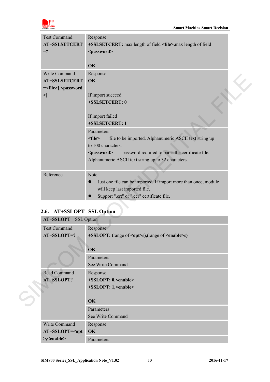

| <b>Test Command</b><br><b>AT+SSLSETCERT</b>                                                     | Response<br>+SSLSETCERT: max length of field <file>, max length of field</file>                                                                                                                                                   |  |
|-------------------------------------------------------------------------------------------------|-----------------------------------------------------------------------------------------------------------------------------------------------------------------------------------------------------------------------------------|--|
| $=$ ?                                                                                           | <password><br/>OK</password>                                                                                                                                                                                                      |  |
| Write Command<br>AT+SSLSETCERT<br>= <file>[,<password<br><math>\geq</math></password<br></file> | Response<br>OK<br>If import succeed<br>+SSLSETCERT: 0<br>If import failed<br>+SSLSETCERT: 1<br>Parameters                                                                                                                         |  |
|                                                                                                 | file to be imported. Alphanumeric ASCII text string up<br>$<$ file $>$<br>to 100 characters.<br>password required to parse the certificate file.<br><password><br/>Alphanumeric ASCII text string up to 32 characters.</password> |  |
| Reference                                                                                       | Note:<br>Just one file can be imported. If import more than once, module<br>$\bullet$<br>will keep last imported file.<br>Support ".crt" or ".cer" certificate file.                                                              |  |
| 2.6. AT+SSLOPT SSL Option                                                                       |                                                                                                                                                                                                                                   |  |
| <b>AT+SSLOPT</b> SSL Option                                                                     |                                                                                                                                                                                                                                   |  |
| <b>Test Command</b><br>AT+SSLOPT=?                                                              | Response<br>+SSLOPT: (range of <opt>s),(range of <enable>s)</enable></opt>                                                                                                                                                        |  |
|                                                                                                 | OK<br>Parameters<br>See Write Command                                                                                                                                                                                             |  |
| Read Command<br>AT+SSLOPT?                                                                      | Response<br>+SSLOPT: 0, <enable><br/>+SSLOPT: 1,<enable></enable></enable>                                                                                                                                                        |  |
|                                                                                                 | OK                                                                                                                                                                                                                                |  |

## <span id="page-9-0"></span>**2.6. AT+SSLOPT SSL Option**

| <b>AT+SSLOPT</b> SSL Option |                                                                |
|-----------------------------|----------------------------------------------------------------|
| <b>Test Command</b>         | Response                                                       |
| $AT+SSLOPT=?$               | +SSLOPT: (range of <opt>s),(range of <enable>s)</enable></opt> |
|                             |                                                                |
|                             | OK                                                             |
|                             | Parameters                                                     |
|                             | See Write Command                                              |
| Read Command                | Response                                                       |
| AT+SSLOPT?                  | +SSLOPT: 0, <enable></enable>                                  |
|                             | +SSLOPT: 1, <enable></enable>                                  |
|                             |                                                                |
|                             | <b>OK</b>                                                      |
|                             | Parameters                                                     |
|                             | See Write Command                                              |
| Write Command               | Response                                                       |
| $AT+SSLOPT=opt$             | OK                                                             |
| >, <enable></enable>        | Parameters                                                     |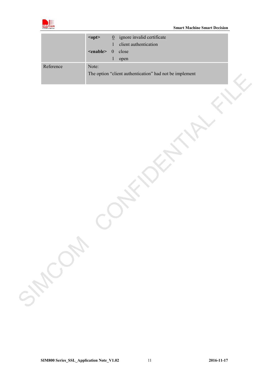

|           | $opt$             | $\underline{0}$  | ignore invalid certificate                              |  |
|-----------|-------------------|------------------|---------------------------------------------------------|--|
|           |                   | 1                | client authentication                                   |  |
|           | <enable></enable> | $\boldsymbol{0}$ | close                                                   |  |
|           |                   | $\mathbf{1}$     | open                                                    |  |
| Reference | Note:             |                  |                                                         |  |
|           |                   |                  | The option "client authentication" had not be implement |  |
|           |                   |                  |                                                         |  |
|           |                   |                  |                                                         |  |
|           |                   |                  |                                                         |  |
|           |                   |                  |                                                         |  |
|           |                   |                  |                                                         |  |
|           |                   |                  |                                                         |  |
|           |                   |                  |                                                         |  |
|           |                   |                  |                                                         |  |
|           |                   |                  |                                                         |  |
|           |                   |                  |                                                         |  |
|           |                   |                  |                                                         |  |
|           |                   |                  |                                                         |  |
|           |                   |                  |                                                         |  |
|           |                   |                  |                                                         |  |
|           |                   |                  |                                                         |  |
|           |                   |                  |                                                         |  |
|           |                   |                  |                                                         |  |
|           |                   |                  |                                                         |  |
|           |                   |                  |                                                         |  |
|           |                   |                  |                                                         |  |
|           |                   |                  |                                                         |  |
|           |                   |                  |                                                         |  |
|           |                   |                  |                                                         |  |
|           |                   |                  |                                                         |  |
|           |                   |                  |                                                         |  |
|           |                   |                  |                                                         |  |
|           |                   |                  |                                                         |  |
|           |                   |                  |                                                         |  |
|           |                   |                  |                                                         |  |
| SHOWN     |                   |                  |                                                         |  |
|           |                   |                  |                                                         |  |
|           |                   |                  |                                                         |  |
|           |                   |                  |                                                         |  |
|           |                   |                  |                                                         |  |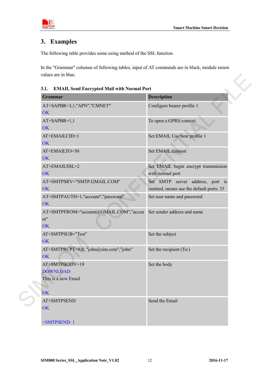



## <span id="page-11-0"></span>**3. Examples**

The following table provides some using method of the SSL function.

In the "Grammar" columns of following tables, input of AT commands are in black, module return values are in blue.

<span id="page-11-1"></span>**3.1. EMAIL Send Encrypted Mail with Normal Port** 

| Grammar                                                        | <b>Description</b>                                                           |
|----------------------------------------------------------------|------------------------------------------------------------------------------|
| AT+SAPBR=3,1,"APN","CMNET"<br><b>OK</b>                        | Configure bearer profile 1                                                   |
| AT+SAPBR=1,1<br><b>OK</b>                                      | To open a GPRS context.                                                      |
| AT+EMAILCID=1<br><b>OK</b>                                     | Set EMAIL Use bear profile 1                                                 |
| AT+EMAILTO=30<br><b>OK</b>                                     | Set EMAIL timeout                                                            |
| AT+EMAILSSL=2<br>OK                                            | Set EMAIL begin encrypt transmission<br>with normal port                     |
| AT+SMTPSRV="SMTP.GMAIL.COM"<br><b>OK</b>                       | Set SMTP server address, port is<br>omitted, means use the default ports: 25 |
| AT+SMTPAUTH=1,"account","password"<br><b>OK</b>                | Set user name and password                                                   |
| AT+SMTPFROM="account@GMAIL.COM","accou<br>nt"<br><b>OK</b>     | Set sender address and name                                                  |
| AT+SMTPSUB="Test"<br><b>OK</b>                                 | Set the subject                                                              |
| AT+SMTPRCPT=0,0, "john@sim.com","john"<br><b>OK</b>            | Set the recipient (To:)                                                      |
| AT+SMTPBODY=19<br><b>DOWNLOAD</b><br>This is a new Email<br>OK | Set the body                                                                 |
| AT+SMTPSEND                                                    | Send the Email                                                               |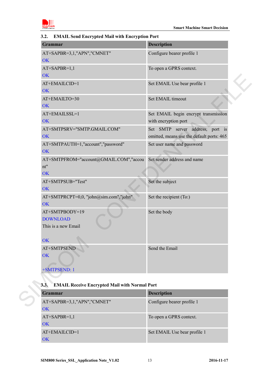

### <span id="page-12-0"></span>**3.2. EMAIL Send Encrypted Mail with Encryption Port**

| <b>Description</b><br><b>Grammar</b><br>AT+SAPBR=3,1,"APN","CMNET"<br>Configure bearer profile 1<br><b>OK</b><br>To open a GPRS context.<br>AT+SAPBR=1,1<br><b>OK</b><br>AT+EMAILCID=1<br>Set EMAIL Use bear profile 1<br>OK<br>Set EMAIL timeout<br>AT+EMAILTO=30<br><b>OK</b><br>AT+EMAILSSL=1<br>with encryption port<br><b>OK</b><br>AT+SMTPSRV="SMTP.GMAIL.COM"<br>OK<br>AT+SMTPAUTH=1,"account","password"<br>Set user name and password<br>OK<br>AT+SMTPFROM="account@GMAIL.COM","accou<br>Set sender address and name<br>nt"<br>OK<br>Set the subject<br>AT+SMTPSUB="Test"<br><b>OK</b><br>AT+SMTPRCPT=0,0, "john@sim.com", "john"<br>Set the recipient (To:)<br><b>OK</b><br>Set the body<br>AT+SMTPBODY=19<br><b>DOWNLOAD</b><br>This is a new Email<br>OK<br>Send the Email<br>AT+SMTPSEND<br><b>OK</b><br>+SMTPSEND: 1<br><b>EMAIL Receive Encrypted Mail with Normal Port</b><br><b>Description</b><br>Grammar<br>Configure bearer profile 1<br>AT+SAPBR=3,1,"APN","CMNET" |  |
|-----------------------------------------------------------------------------------------------------------------------------------------------------------------------------------------------------------------------------------------------------------------------------------------------------------------------------------------------------------------------------------------------------------------------------------------------------------------------------------------------------------------------------------------------------------------------------------------------------------------------------------------------------------------------------------------------------------------------------------------------------------------------------------------------------------------------------------------------------------------------------------------------------------------------------------------------------------------------------------------|--|
|                                                                                                                                                                                                                                                                                                                                                                                                                                                                                                                                                                                                                                                                                                                                                                                                                                                                                                                                                                                         |  |
| Set EMAIL begin encrypt transmission                                                                                                                                                                                                                                                                                                                                                                                                                                                                                                                                                                                                                                                                                                                                                                                                                                                                                                                                                    |  |
|                                                                                                                                                                                                                                                                                                                                                                                                                                                                                                                                                                                                                                                                                                                                                                                                                                                                                                                                                                                         |  |
|                                                                                                                                                                                                                                                                                                                                                                                                                                                                                                                                                                                                                                                                                                                                                                                                                                                                                                                                                                                         |  |
|                                                                                                                                                                                                                                                                                                                                                                                                                                                                                                                                                                                                                                                                                                                                                                                                                                                                                                                                                                                         |  |
| Set SMTP server address, port is<br>omitted, means use the default ports: 465                                                                                                                                                                                                                                                                                                                                                                                                                                                                                                                                                                                                                                                                                                                                                                                                                                                                                                           |  |
|                                                                                                                                                                                                                                                                                                                                                                                                                                                                                                                                                                                                                                                                                                                                                                                                                                                                                                                                                                                         |  |
|                                                                                                                                                                                                                                                                                                                                                                                                                                                                                                                                                                                                                                                                                                                                                                                                                                                                                                                                                                                         |  |
|                                                                                                                                                                                                                                                                                                                                                                                                                                                                                                                                                                                                                                                                                                                                                                                                                                                                                                                                                                                         |  |
|                                                                                                                                                                                                                                                                                                                                                                                                                                                                                                                                                                                                                                                                                                                                                                                                                                                                                                                                                                                         |  |
|                                                                                                                                                                                                                                                                                                                                                                                                                                                                                                                                                                                                                                                                                                                                                                                                                                                                                                                                                                                         |  |
|                                                                                                                                                                                                                                                                                                                                                                                                                                                                                                                                                                                                                                                                                                                                                                                                                                                                                                                                                                                         |  |
|                                                                                                                                                                                                                                                                                                                                                                                                                                                                                                                                                                                                                                                                                                                                                                                                                                                                                                                                                                                         |  |
|                                                                                                                                                                                                                                                                                                                                                                                                                                                                                                                                                                                                                                                                                                                                                                                                                                                                                                                                                                                         |  |
| 3.3.                                                                                                                                                                                                                                                                                                                                                                                                                                                                                                                                                                                                                                                                                                                                                                                                                                                                                                                                                                                    |  |
|                                                                                                                                                                                                                                                                                                                                                                                                                                                                                                                                                                                                                                                                                                                                                                                                                                                                                                                                                                                         |  |
|                                                                                                                                                                                                                                                                                                                                                                                                                                                                                                                                                                                                                                                                                                                                                                                                                                                                                                                                                                                         |  |
|                                                                                                                                                                                                                                                                                                                                                                                                                                                                                                                                                                                                                                                                                                                                                                                                                                                                                                                                                                                         |  |

# <span id="page-12-1"></span>**3.3. EMAIL Receive Encrypted Mail with Normal Port**

| <b>Grammar</b>             | <b>Description</b>           |
|----------------------------|------------------------------|
| AT+SAPBR=3,1,"APN","CMNET" | Configure bearer profile 1   |
| OK                         |                              |
| $AT+SAPBR=1,1$             | To open a GPRS context.      |
| <b>OK</b>                  |                              |
| $AT+EMAILCID=1$            | Set EMAIL Use bear profile 1 |
| VК                         |                              |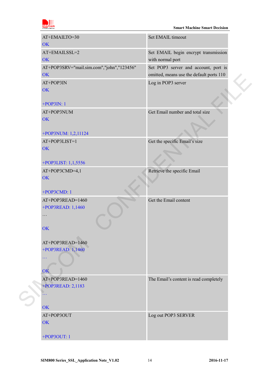

| AT+EMAILTO=30                             | Set EMAIL timeout                        |  |
|-------------------------------------------|------------------------------------------|--|
| <b>OK</b>                                 |                                          |  |
| AT+EMAILSSL=2                             | Set EMAIL begin encrypt transmission     |  |
| <b>OK</b>                                 | with normal port                         |  |
| AT+POP3SRV="mail.sim.com","john","123456" | Set POP3 server and account, port is     |  |
| <b>OK</b>                                 | omitted, means use the default ports 110 |  |
| AT+POP3IN                                 | Log in POP3 server                       |  |
| <b>OK</b>                                 |                                          |  |
| $+POP3IN:1$                               |                                          |  |
| AT+POP3NUM                                | Get Email number and total size          |  |
| OK                                        |                                          |  |
|                                           |                                          |  |
| +POP3NUM: 1,2,11124                       |                                          |  |
| AT+POP3LIST=1                             | Get the specific Email's size            |  |
| <b>OK</b>                                 |                                          |  |
|                                           |                                          |  |
| +POP3LIST: 1,1,5556                       |                                          |  |
| AT+POP3CMD=4,1                            | Retrieve the specific Email              |  |
| <b>OK</b>                                 |                                          |  |
| +POP3CMD: 1                               |                                          |  |
| AT+POP3READ=1460                          | Get the Email content                    |  |
| +POP3READ: 1,1460                         |                                          |  |
| .                                         |                                          |  |
|                                           |                                          |  |
| OK                                        |                                          |  |
| AT+POP3READ=1460                          |                                          |  |
| +POP3READ: 1,1460                         |                                          |  |
| $\ddotsc$                                 |                                          |  |
|                                           |                                          |  |
| OK                                        |                                          |  |
| AT+POP3READ=1460                          | The Email's content is read completely   |  |
| +POP3READ: 2,1183                         |                                          |  |
|                                           |                                          |  |
|                                           |                                          |  |
| OK                                        |                                          |  |
| AT+POP3OUT                                | Log out POP3 SERVER                      |  |
| <b>OK</b>                                 |                                          |  |
| +POP3OUT: 1                               |                                          |  |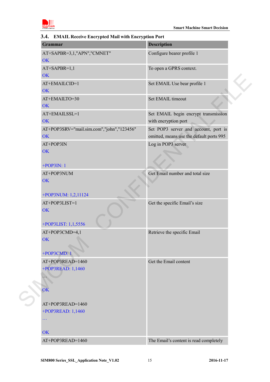

## <span id="page-14-0"></span>**3.4. EMAIL Receive Encrypted Mail with Encryption Port**

| <b>Grammar</b>                                         | <b>Description</b>                                                               |
|--------------------------------------------------------|----------------------------------------------------------------------------------|
| AT+SAPBR=3,1,"APN","CMNET"<br><b>OK</b>                | Configure bearer profile 1                                                       |
| AT+SAPBR=1,1<br>OK                                     | To open a GPRS context.                                                          |
| AT+EMAILCID=1<br><b>OK</b>                             | Set EMAIL Use bear profile 1                                                     |
| AT+EMAILTO=30<br><b>OK</b>                             | Set EMAIL timeout                                                                |
| AT+EMAILSSL=1<br><b>OK</b>                             | Set EMAIL begin encrypt transmission<br>with encryption port                     |
| AT+POP3SRV="mail.sim.com","john","123456"<br><b>OK</b> | Set POP3 server and account, port is<br>omitted, means use the default ports 995 |
| AT+POP3IN<br><b>OK</b>                                 | Log in POP3 server                                                               |
| $+POP3IN:1$<br>AT+POP3NUM<br><b>OK</b>                 | Get Email number and total size                                                  |
| +POP3NUM: 1,2,11124                                    |                                                                                  |
| AT+POP3LIST=1<br>OK<br>+POP3LIST: 1,1,5556             | Get the specific Email's size                                                    |
| AT+POP3CMD=4,1<br>OK<br>+POP3CMD: 1                    | Retrieve the specific Email                                                      |
| AT+POP3READ=1460<br>+POP3READ: 1,1460<br>OK            | Get the Email content                                                            |
| AT+POP3READ=1460<br>+POP3READ: 1,1460<br>$\ddotsc$     |                                                                                  |
| OK                                                     |                                                                                  |
| AT+POP3READ=1460                                       | The Email's content is read completely                                           |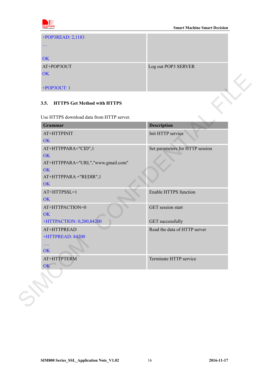

| +POP3READ: 2,1183 |                     |
|-------------------|---------------------|
| $\cdots$          |                     |
| <b>OK</b>         |                     |
| AT+POP3OUT        | Log out POP3 SERVER |
| OK                |                     |
|                   |                     |
| $+ POP3OUT: 1$    |                     |

### <span id="page-15-0"></span>**3.5. HTTPS Get Method with HTTPS**

| Grammar                           | <b>Description</b>              |
|-----------------------------------|---------------------------------|
| AT+HTTPINIT                       | Init HTTP service               |
| OK                                |                                 |
| AT+HTTPPARA="CID",1               | Set parameters for HTTP session |
| OK                                |                                 |
| AT+HTTPPARA="URL","www.gmail.com" |                                 |
| OK                                |                                 |
| AT+HTTPPARA="REDIR",1<br>OK       |                                 |
| AT+HTTPSSL=1                      | <b>Enable HTTPS function</b>    |
| OK                                |                                 |
| AT+HTTPACTION=0                   | GET session start               |
| OK                                |                                 |
| +HTTPACTION: 0,200,84200          | <b>GET</b> successfully         |
| AT+HTTPREAD                       | Read the data of HTTP server    |
| +HTTPREAD: 84200                  |                                 |
| 2222                              |                                 |
| <b>OK</b>                         |                                 |
| AT+HTTPTERM                       | Terminate HTTP service          |
| OK                                |                                 |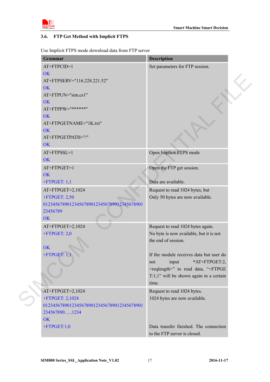

### <span id="page-16-0"></span>**3.6. FTP Get Method with Implicit FTPS**

Use Implicit FTPS mode download data from FTP server

| Grammar                                    | <b>Description</b>                             |
|--------------------------------------------|------------------------------------------------|
| AT+FTPCID=1                                | Set parameters for FTP session.                |
| <b>OK</b>                                  |                                                |
| AT+FTPSERV="116.228.221.52"                |                                                |
| <b>OK</b>                                  |                                                |
| AT+FTPUN="sim.cs1"                         |                                                |
| <b>OK</b>                                  |                                                |
| AT+FTPPW="******"                          |                                                |
| <b>OK</b>                                  |                                                |
| AT+FTPGETNAME="1K.txt"                     |                                                |
| <b>OK</b>                                  |                                                |
| AT+FTPGETPATH="/"                          |                                                |
| <b>OK</b>                                  |                                                |
| AT+FTPSSL=1                                | Open Implicit FTPS mode                        |
| <b>OK</b>                                  |                                                |
| $AT+FTPGET=1$                              | Open the FTP get session.                      |
| <b>OK</b>                                  |                                                |
| $+$ FTPGET: 1,1                            | Data are available.                            |
|                                            |                                                |
| AT+FTPGET=2,1024                           | Request to read 1024 bytes, but                |
| $+$ FTPGET: 2,50                           | Only 50 bytes are now available.               |
| 012345678901234567890123456789012345678901 |                                                |
| 23456789<br><b>OK</b>                      |                                                |
|                                            |                                                |
| AT+FTPGET=2,1024                           | Request to read 1024 bytes again.              |
| $+$ FTPGET: 2,0                            | No byte is now available, but it is not        |
|                                            | the end of session.                            |
| <b>OK</b>                                  |                                                |
| $+$ FTPGET: 1,1                            | If the module receives data but user do        |
|                                            | "AT+FTPGET:2,<br>input<br>not                  |
|                                            | <reqlength>" to read data, "+FTPGE</reqlength> |
|                                            | $T:1,1$ " will be shown again in a certain     |
|                                            | time.                                          |
| AT+FTPGET=2,1024                           | Request to read 1024 bytes.                    |
| +FTPGET: 2,1024                            | 1024 bytes are now available.                  |
| 012345678901234567890123456789012345678901 |                                                |
| 2345678901234                              |                                                |
| <b>OK</b>                                  |                                                |
| $+$ FTPGET:1,0                             | Data transfer finished. The connection         |
|                                            | to the FTP server is closed.                   |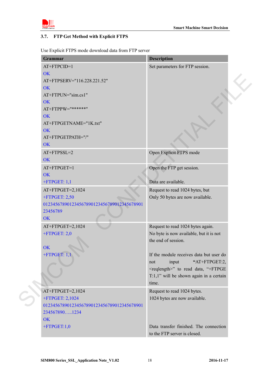

### <span id="page-17-0"></span>**3.7. FTP Get Method with Explicit FTPS**

Use Explicit FTPS mode download data from FTP server

| Set parameters for FTP session.                |
|------------------------------------------------|
|                                                |
|                                                |
|                                                |
|                                                |
|                                                |
|                                                |
|                                                |
|                                                |
|                                                |
|                                                |
|                                                |
|                                                |
|                                                |
|                                                |
|                                                |
|                                                |
| Request to read 1024 bytes, but                |
| Only 50 bytes are now available.               |
|                                                |
|                                                |
|                                                |
| Request to read 1024 bytes again.              |
| No byte is now available, but it is not        |
|                                                |
|                                                |
| If the module receives data but user do        |
| "AT+FTPGET:2,                                  |
| <reqlength>" to read data, "+FTPGE</reqlength> |
| $T:1,1"$ will be shown again in a certain      |
|                                                |
|                                                |
|                                                |
|                                                |
|                                                |
|                                                |
| Data transfer finished. The connection         |
|                                                |
| 1024 bytes are now available.                  |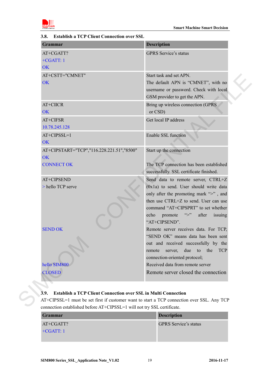

| Grammar                                                                     | <b>Description</b>                                                                                                                                                                                                                                                         |
|-----------------------------------------------------------------------------|----------------------------------------------------------------------------------------------------------------------------------------------------------------------------------------------------------------------------------------------------------------------------|
| AT+CGATT?<br>$+CGATT:1$<br><b>OK</b>                                        | <b>GPRS</b> Service's status                                                                                                                                                                                                                                               |
| AT+CSTT="CMNET"<br><b>OK</b>                                                | Start task and set APN.<br>The default APN is "CMNET", with no<br>username or password. Check with local<br>GSM provider to get the APN.                                                                                                                                   |
| AT+CIICR<br>OK                                                              | Bring up wireless connection (GPRS<br>or CSD)                                                                                                                                                                                                                              |
| AT+CIFSR<br>10.78.245.128                                                   | Get local IP address                                                                                                                                                                                                                                                       |
| $AT+CIPSSI=1$<br><b>OK</b>                                                  | Enable SSL function                                                                                                                                                                                                                                                        |
| AT+CIPSTART="TCP","116.228.221.51","8500"<br><b>OK</b><br><b>CONNECT OK</b> | Start up the connection<br>The TCP connection has been established<br>successfully. SSL certificate finished.                                                                                                                                                              |
| AT+CIPSEND<br>> hello TCP serve                                             | Send data to remote server, CTRL+Z<br>$(0x1a)$ to send. User should write data<br>only after the promoting mark ">", and<br>then use CTRL+Z to send. User can use<br>command "AT+CIPSPRT" to set whether<br>$\sim$<br>promote<br>after<br>echo<br>issuing<br>"AT+CIPSEND". |
| <b>SEND OK</b>                                                              | Remote server receives data. For TCP,<br>"SEND OK" means data has been sent<br>out and received successfully by the<br>due<br>to<br>the<br><b>TCP</b><br>remote<br>server,<br>connection-oriented protocol;                                                                |
| hello SIM800<br><b>CLOSED</b>                                               | Received data from remote server<br>Remote server closed the connection                                                                                                                                                                                                    |

### <span id="page-18-0"></span>**3.8. Establish a TCP Client Connection over SSL**

# <span id="page-18-1"></span>**3.9. Establish a TCP Client Connection over SSL in Multi Connection**

AT+CIPSSL=1 must be set first if customer want to start a TCP connection over SSL. Any TCP connection established before AT+CIPSSL=1 will not try SSL certificate.

| <b>Grammar</b> | <b>Description</b>           |
|----------------|------------------------------|
| AT+CGATT?      | <b>GPRS</b> Service's status |
| $+CGATT:1$     |                              |
|                |                              |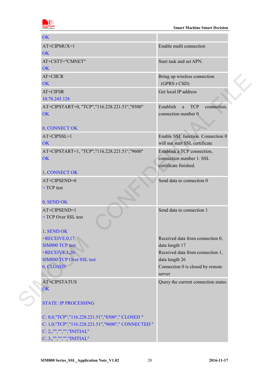

| <b>OK</b>                                          |                                             |
|----------------------------------------------------|---------------------------------------------|
| AT+CIPMUX=1                                        | Enable multi connection                     |
| <b>OK</b>                                          |                                             |
| AT+CSTT="CMNET"                                    | Start task and set APN.                     |
| <b>OK</b>                                          |                                             |
| AT+CIICR                                           | Bring up wireless connection                |
| <b>OK</b>                                          | (GPRS r CSD)                                |
| AT+CIFSR                                           | Get local IP address                        |
| 10.78.245.128                                      |                                             |
| AT+CIPSTART=0, "TCP","116.228.221.51","8500"       | Establish<br><b>TCP</b><br>connection,<br>a |
| <b>OK</b>                                          | connection number 0                         |
|                                                    |                                             |
| 0, CONNECT OK                                      |                                             |
| AT+CIPSSL=1                                        | Enable SSL function. Connection 0           |
| <b>OK</b>                                          | will not start SSL certificate              |
| AT+CIPSTART=1, "TCP","116.228.221.51","9600"       | Establish a TCP connection,                 |
| OK                                                 | connection number 1, SSL                    |
|                                                    | certificate finished.                       |
| 1, CONNECT OK                                      |                                             |
| AT+CIPSEND=0                                       | Send data to connection 0                   |
| $>$ TCP test                                       |                                             |
|                                                    |                                             |
| 0, SEND OK                                         |                                             |
| AT+CIPSEND=1                                       | Send data to connection 1                   |
| > TCP Over SSL test                                |                                             |
|                                                    |                                             |
| 1, SEND OK                                         |                                             |
| $+$ RECEIVE, 0, 17:                                | Received data from connection 0,            |
| <b>SIM800 TCP test</b>                             | data length 17                              |
| $+$ RECEIVE, 1,26:                                 | Received data from connection 1,            |
| <b>SIM800 TCP Over SSL test</b>                    | data length 26                              |
| 0, CLOSED                                          | Connection 0 is closed by remote            |
|                                                    | server                                      |
| <b>AT+CIPSTATUS</b>                                | Query the current connection status         |
| OK                                                 |                                             |
| <b>STATE: IP PROCESSING</b>                        |                                             |
|                                                    |                                             |
| C: 0,0,"TCP","116.228.221.51","8500"," CLOSED "    |                                             |
| C: 1,0,"TCP","116.228.221.51","9600"," CONNECTED " |                                             |
| $C: 2,$ ,"","","","INITIAL"                        |                                             |
| $C: 3,$ ,"","","","INITIAL"                        |                                             |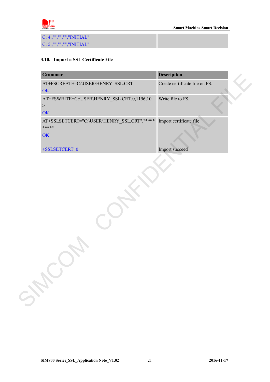

C: 4,,"","","","INITIAL" C: 5,,"","","","INITIAL"

### <span id="page-20-0"></span>**3.10. Import a SSL Certificate File**

| Create certificate file on FS.<br>OK<br>AT+FSWRITE=C:\USER\HENRY_SSL.CRT,0,1196,10<br>Write file to FS.<br>$\,>$<br>OK<br>AT+SSLSETCERT="C:\USER\HENRY_SSL.CRT","****<br>Import certificate file<br>****"<br>OK<br>Import succeed<br>+SSLSETCERT: 0 | SHE | <b>Description</b> | Grammar |
|-----------------------------------------------------------------------------------------------------------------------------------------------------------------------------------------------------------------------------------------------------|-----|--------------------|---------|
|                                                                                                                                                                                                                                                     |     |                    |         |
|                                                                                                                                                                                                                                                     |     |                    |         |
|                                                                                                                                                                                                                                                     |     |                    |         |
|                                                                                                                                                                                                                                                     |     |                    |         |
|                                                                                                                                                                                                                                                     |     |                    |         |
|                                                                                                                                                                                                                                                     |     |                    |         |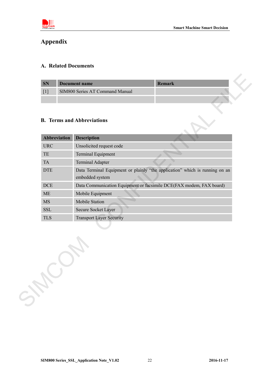

## <span id="page-21-0"></span>**Appendix**

### <span id="page-21-1"></span>**A. Related Documents**

| <b>SN</b> | Document name                   | <b>Remark</b> |
|-----------|---------------------------------|---------------|
|           | SIM800 Series AT Command Manual |               |
|           |                                 |               |

### <span id="page-21-2"></span>**B. Terms and Abbreviations**

| Abbreviation | <b>Description</b>                                                                             |
|--------------|------------------------------------------------------------------------------------------------|
| <b>URC</b>   | Unsolicited request code                                                                       |
| TE           | Terminal Equipment                                                                             |
| <b>TA</b>    | <b>Terminal Adapter</b>                                                                        |
| <b>DTE</b>   | Data Terminal Equipment or plainly "the application" which is running on an<br>embedded system |
| <b>DCE</b>   | Data Communication Equipment or facsimile DCE(FAX modem, FAX board)                            |
| <b>ME</b>    | Mobile Equipment                                                                               |
| <b>MS</b>    | Mobile Station                                                                                 |
| <b>SSL</b>   | Secure Socket Layer                                                                            |
| <b>TLS</b>   | <b>Transport Layer Security</b>                                                                |
|              |                                                                                                |